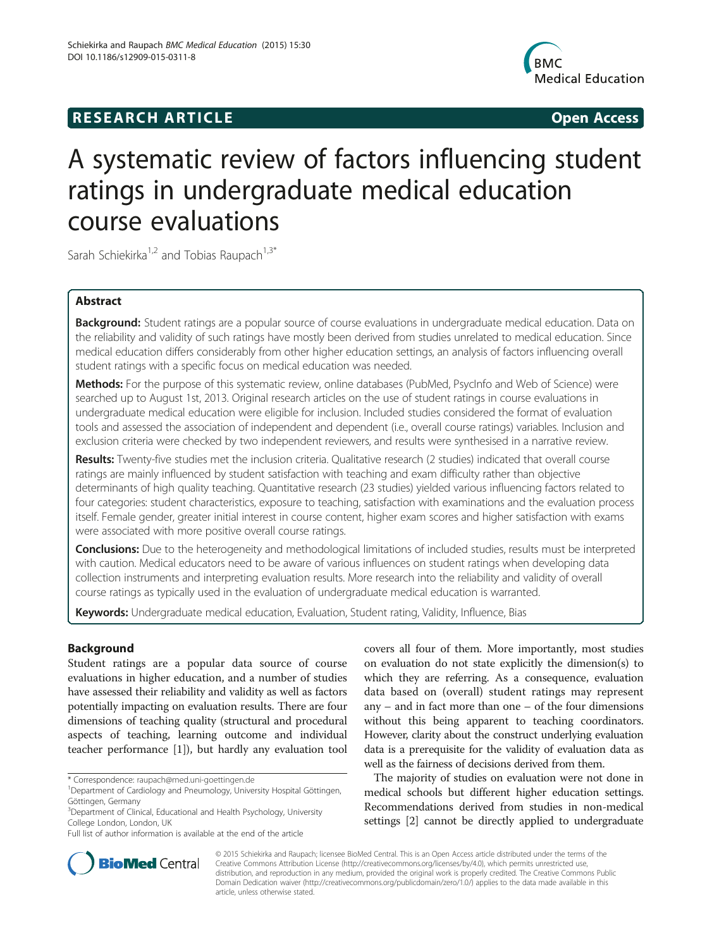# R E S EAR CH A R TIC L E Open Access



# A systematic review of factors influencing student ratings in undergraduate medical education course evaluations

Sarah Schiekirka<sup>1,2</sup> and Tobias Raupach<sup>1,3\*</sup>

# Abstract

Background: Student ratings are a popular source of course evaluations in undergraduate medical education. Data on the reliability and validity of such ratings have mostly been derived from studies unrelated to medical education. Since medical education differs considerably from other higher education settings, an analysis of factors influencing overall student ratings with a specific focus on medical education was needed.

Methods: For the purpose of this systematic review, online databases (PubMed, PsycInfo and Web of Science) were searched up to August 1st, 2013. Original research articles on the use of student ratings in course evaluations in undergraduate medical education were eligible for inclusion. Included studies considered the format of evaluation tools and assessed the association of independent and dependent (i.e., overall course ratings) variables. Inclusion and exclusion criteria were checked by two independent reviewers, and results were synthesised in a narrative review.

Results: Twenty-five studies met the inclusion criteria. Qualitative research (2 studies) indicated that overall course ratings are mainly influenced by student satisfaction with teaching and exam difficulty rather than objective determinants of high quality teaching. Quantitative research (23 studies) yielded various influencing factors related to four categories: student characteristics, exposure to teaching, satisfaction with examinations and the evaluation process itself. Female gender, greater initial interest in course content, higher exam scores and higher satisfaction with exams were associated with more positive overall course ratings.

**Conclusions:** Due to the heterogeneity and methodological limitations of included studies, results must be interpreted with caution. Medical educators need to be aware of various influences on student ratings when developing data collection instruments and interpreting evaluation results. More research into the reliability and validity of overall course ratings as typically used in the evaluation of undergraduate medical education is warranted.

Keywords: Undergraduate medical education, Evaluation, Student rating, Validity, Influence, Bias

# **Background**

Student ratings are a popular data source of course evaluations in higher education, and a number of studies have assessed their reliability and validity as well as factors potentially impacting on evaluation results. There are four dimensions of teaching quality (structural and procedural aspects of teaching, learning outcome and individual teacher performance [[1\]](#page-7-0)), but hardly any evaluation tool

covers all four of them. More importantly, most studies on evaluation do not state explicitly the dimension(s) to which they are referring. As a consequence, evaluation data based on (overall) student ratings may represent any – and in fact more than one – of the four dimensions without this being apparent to teaching coordinators. However, clarity about the construct underlying evaluation data is a prerequisite for the validity of evaluation data as well as the fairness of decisions derived from them.

The majority of studies on evaluation were not done in medical schools but different higher education settings. Recommendations derived from studies in non-medical settings [\[2](#page-7-0)] cannot be directly applied to undergraduate



© 2015 Schiekirka and Raupach; licensee BioMed Central. This is an Open Access article distributed under the terms of the Creative Commons Attribution License (<http://creativecommons.org/licenses/by/4.0>), which permits unrestricted use, distribution, and reproduction in any medium, provided the original work is properly credited. The Creative Commons Public Domain Dedication waiver [\(http://creativecommons.org/publicdomain/zero/1.0/\)](http://creativecommons.org/publicdomain/zero/1.0/) applies to the data made available in this article, unless otherwise stated.

<sup>\*</sup> Correspondence: [raupach@med.uni-goettingen.de](mailto:raupach@med.uni-goettingen.de) <sup>1</sup>

<sup>&</sup>lt;sup>1</sup>Department of Cardiology and Pneumology, University Hospital Göttingen, Göttingen, Germany

<sup>&</sup>lt;sup>3</sup>Department of Clinical, Educational and Health Psychology, University College London, London, UK

Full list of author information is available at the end of the article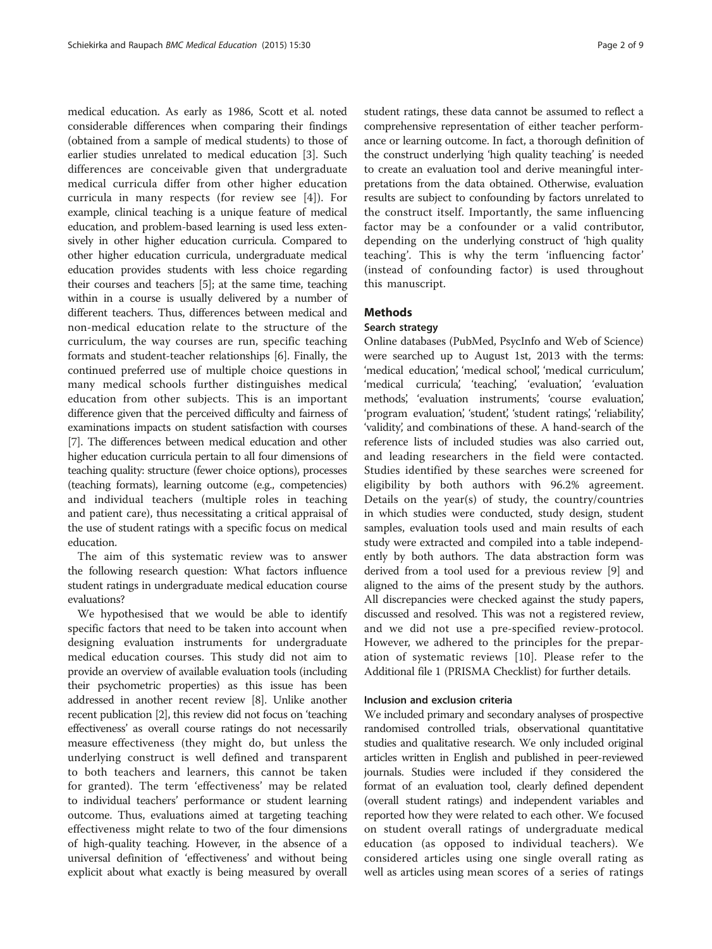medical education. As early as 1986, Scott et al. noted considerable differences when comparing their findings (obtained from a sample of medical students) to those of earlier studies unrelated to medical education [\[3](#page-7-0)]. Such differences are conceivable given that undergraduate medical curricula differ from other higher education curricula in many respects (for review see [[4\]](#page-7-0)). For example, clinical teaching is a unique feature of medical education, and problem-based learning is used less extensively in other higher education curricula. Compared to other higher education curricula, undergraduate medical education provides students with less choice regarding their courses and teachers [\[5](#page-7-0)]; at the same time, teaching within in a course is usually delivered by a number of different teachers. Thus, differences between medical and non-medical education relate to the structure of the curriculum, the way courses are run, specific teaching formats and student-teacher relationships [\[6](#page-7-0)]. Finally, the continued preferred use of multiple choice questions in many medical schools further distinguishes medical education from other subjects. This is an important difference given that the perceived difficulty and fairness of examinations impacts on student satisfaction with courses [[7](#page-7-0)]. The differences between medical education and other higher education curricula pertain to all four dimensions of teaching quality: structure (fewer choice options), processes (teaching formats), learning outcome (e.g., competencies) and individual teachers (multiple roles in teaching and patient care), thus necessitating a critical appraisal of the use of student ratings with a specific focus on medical education.

The aim of this systematic review was to answer the following research question: What factors influence student ratings in undergraduate medical education course evaluations?

We hypothesised that we would be able to identify specific factors that need to be taken into account when designing evaluation instruments for undergraduate medical education courses. This study did not aim to provide an overview of available evaluation tools (including their psychometric properties) as this issue has been addressed in another recent review [\[8](#page-7-0)]. Unlike another recent publication [[2](#page-7-0)], this review did not focus on 'teaching effectiveness' as overall course ratings do not necessarily measure effectiveness (they might do, but unless the underlying construct is well defined and transparent to both teachers and learners, this cannot be taken for granted). The term 'effectiveness' may be related to individual teachers' performance or student learning outcome. Thus, evaluations aimed at targeting teaching effectiveness might relate to two of the four dimensions of high-quality teaching. However, in the absence of a universal definition of 'effectiveness' and without being explicit about what exactly is being measured by overall student ratings, these data cannot be assumed to reflect a comprehensive representation of either teacher performance or learning outcome. In fact, a thorough definition of the construct underlying 'high quality teaching' is needed to create an evaluation tool and derive meaningful interpretations from the data obtained. Otherwise, evaluation results are subject to confounding by factors unrelated to the construct itself. Importantly, the same influencing factor may be a confounder or a valid contributor, depending on the underlying construct of 'high quality teaching'. This is why the term 'influencing factor' (instead of confounding factor) is used throughout this manuscript.

# Methods

## Search strategy

Online databases (PubMed, PsycInfo and Web of Science) were searched up to August 1st, 2013 with the terms: 'medical education', 'medical school', 'medical curriculum', 'medical curricula', 'teaching', 'evaluation', 'evaluation methods', 'evaluation instruments', 'course evaluation', 'program evaluation', 'student', 'student ratings', 'reliability', 'validity', and combinations of these. A hand-search of the reference lists of included studies was also carried out, and leading researchers in the field were contacted. Studies identified by these searches were screened for eligibility by both authors with 96.2% agreement. Details on the year(s) of study, the country/countries in which studies were conducted, study design, student samples, evaluation tools used and main results of each study were extracted and compiled into a table independently by both authors. The data abstraction form was derived from a tool used for a previous review [\[9](#page-7-0)] and aligned to the aims of the present study by the authors. All discrepancies were checked against the study papers, discussed and resolved. This was not a registered review, and we did not use a pre-specified review-protocol. However, we adhered to the principles for the preparation of systematic reviews [[10\]](#page-7-0). Please refer to the Additional file [1](#page-7-0) (PRISMA Checklist) for further details.

#### Inclusion and exclusion criteria

We included primary and secondary analyses of prospective randomised controlled trials, observational quantitative studies and qualitative research. We only included original articles written in English and published in peer-reviewed journals. Studies were included if they considered the format of an evaluation tool, clearly defined dependent (overall student ratings) and independent variables and reported how they were related to each other. We focused on student overall ratings of undergraduate medical education (as opposed to individual teachers). We considered articles using one single overall rating as well as articles using mean scores of a series of ratings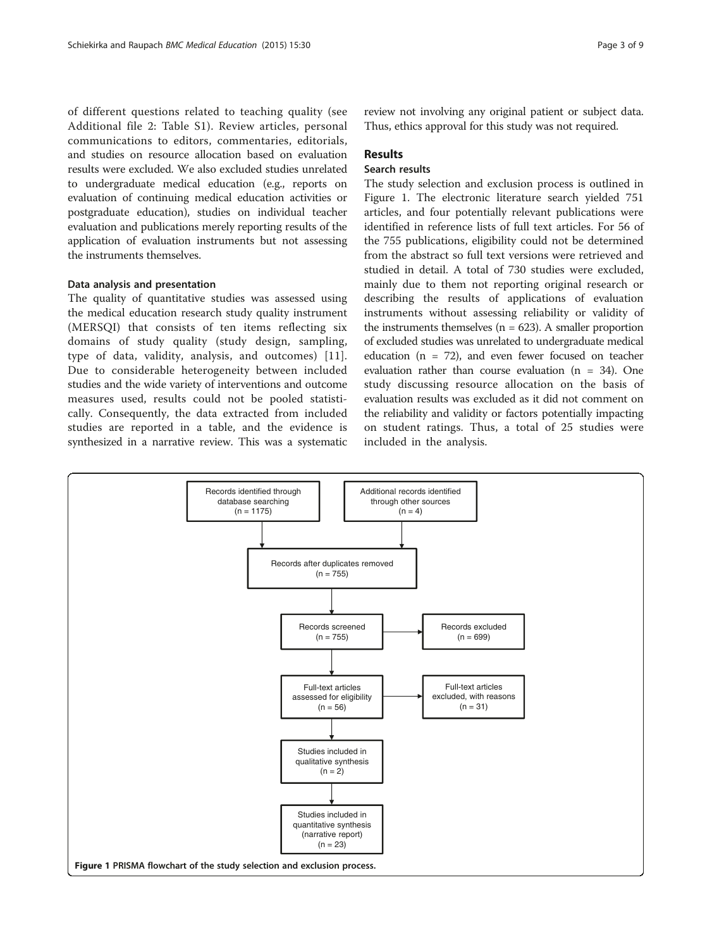of different questions related to teaching quality (see Additional file [2:](#page-7-0) Table S1). Review articles, personal communications to editors, commentaries, editorials, and studies on resource allocation based on evaluation results were excluded. We also excluded studies unrelated to undergraduate medical education (e.g., reports on evaluation of continuing medical education activities or postgraduate education), studies on individual teacher evaluation and publications merely reporting results of the application of evaluation instruments but not assessing the instruments themselves.

#### Data analysis and presentation

The quality of quantitative studies was assessed using the medical education research study quality instrument (MERSQI) that consists of ten items reflecting six domains of study quality (study design, sampling, type of data, validity, analysis, and outcomes) [[11\]](#page-7-0). Due to considerable heterogeneity between included studies and the wide variety of interventions and outcome measures used, results could not be pooled statistically. Consequently, the data extracted from included studies are reported in a table, and the evidence is synthesized in a narrative review. This was a systematic

review not involving any original patient or subject data. Thus, ethics approval for this study was not required.

# Results

# Search results

The study selection and exclusion process is outlined in Figure 1. The electronic literature search yielded 751 articles, and four potentially relevant publications were identified in reference lists of full text articles. For 56 of the 755 publications, eligibility could not be determined from the abstract so full text versions were retrieved and studied in detail. A total of 730 studies were excluded, mainly due to them not reporting original research or describing the results of applications of evaluation instruments without assessing reliability or validity of the instruments themselves ( $n = 623$ ). A smaller proportion of excluded studies was unrelated to undergraduate medical education ( $n = 72$ ), and even fewer focused on teacher evaluation rather than course evaluation  $(n = 34)$ . One study discussing resource allocation on the basis of evaluation results was excluded as it did not comment on the reliability and validity or factors potentially impacting on student ratings. Thus, a total of 25 studies were included in the analysis.

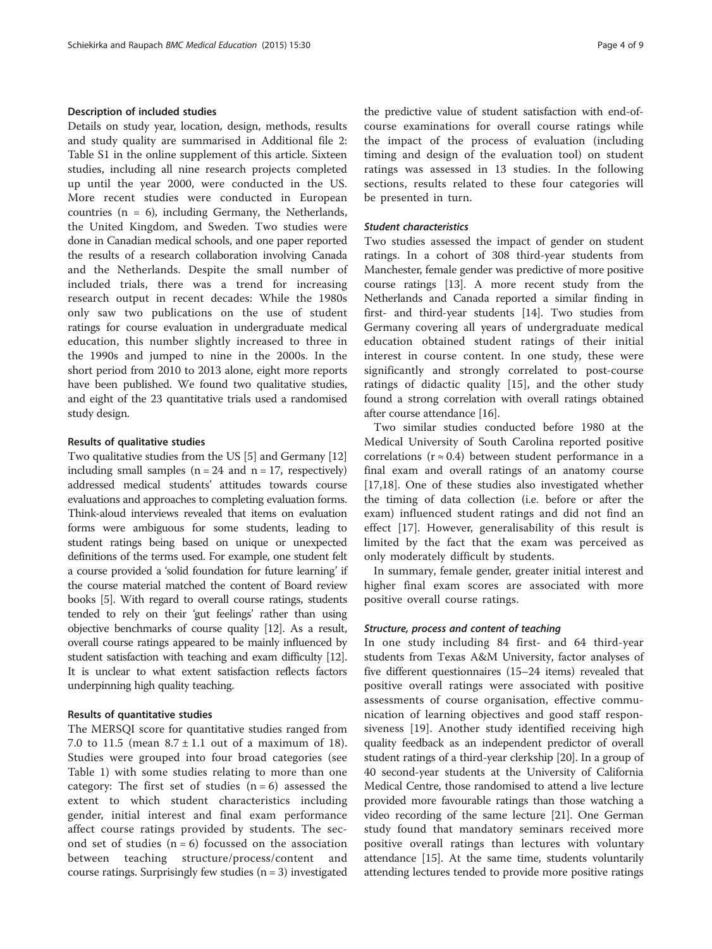#### Description of included studies

Details on study year, location, design, methods, results and study quality are summarised in Additional file [2](#page-7-0): Table S1 in the online supplement of this article. Sixteen studies, including all nine research projects completed up until the year 2000, were conducted in the US. More recent studies were conducted in European countries  $(n = 6)$ , including Germany, the Netherlands, the United Kingdom, and Sweden. Two studies were done in Canadian medical schools, and one paper reported the results of a research collaboration involving Canada and the Netherlands. Despite the small number of included trials, there was a trend for increasing research output in recent decades: While the 1980s only saw two publications on the use of student ratings for course evaluation in undergraduate medical education, this number slightly increased to three in the 1990s and jumped to nine in the 2000s. In the short period from 2010 to 2013 alone, eight more reports have been published. We found two qualitative studies, and eight of the 23 quantitative trials used a randomised study design.

#### Results of qualitative studies

Two qualitative studies from the US [[5\]](#page-7-0) and Germany [[12](#page-7-0)] including small samples ( $n = 24$  and  $n = 17$ , respectively) addressed medical students' attitudes towards course evaluations and approaches to completing evaluation forms. Think-aloud interviews revealed that items on evaluation forms were ambiguous for some students, leading to student ratings being based on unique or unexpected definitions of the terms used. For example, one student felt a course provided a 'solid foundation for future learning' if the course material matched the content of Board review books [\[5\]](#page-7-0). With regard to overall course ratings, students tended to rely on their 'gut feelings' rather than using objective benchmarks of course quality [\[12](#page-7-0)]. As a result, overall course ratings appeared to be mainly influenced by student satisfaction with teaching and exam difficulty [\[12](#page-7-0)]. It is unclear to what extent satisfaction reflects factors underpinning high quality teaching.

### Results of quantitative studies

The MERSQI score for quantitative studies ranged from 7.0 to 11.5 (mean  $8.7 \pm 1.1$  out of a maximum of 18). Studies were grouped into four broad categories (see Table [1](#page-4-0)) with some studies relating to more than one category: The first set of studies  $(n = 6)$  assessed the extent to which student characteristics including gender, initial interest and final exam performance affect course ratings provided by students. The second set of studies  $(n = 6)$  focussed on the association between teaching structure/process/content and course ratings. Surprisingly few studies  $(n = 3)$  investigated the predictive value of student satisfaction with end-ofcourse examinations for overall course ratings while the impact of the process of evaluation (including timing and design of the evaluation tool) on student ratings was assessed in 13 studies. In the following sections, results related to these four categories will be presented in turn.

#### Student characteristics

Two studies assessed the impact of gender on student ratings. In a cohort of 308 third-year students from Manchester, female gender was predictive of more positive course ratings [\[13\]](#page-7-0). A more recent study from the Netherlands and Canada reported a similar finding in first- and third-year students [[14](#page-7-0)]. Two studies from Germany covering all years of undergraduate medical education obtained student ratings of their initial interest in course content. In one study, these were significantly and strongly correlated to post-course ratings of didactic quality [[15\]](#page-7-0), and the other study found a strong correlation with overall ratings obtained after course attendance [\[16](#page-7-0)].

Two similar studies conducted before 1980 at the Medical University of South Carolina reported positive correlations ( $r \approx 0.4$ ) between student performance in a final exam and overall ratings of an anatomy course [[17,18\]](#page-7-0). One of these studies also investigated whether the timing of data collection (i.e. before or after the exam) influenced student ratings and did not find an effect [\[17](#page-7-0)]. However, generalisability of this result is limited by the fact that the exam was perceived as only moderately difficult by students.

In summary, female gender, greater initial interest and higher final exam scores are associated with more positive overall course ratings.

#### Structure, process and content of teaching

In one study including 84 first- and 64 third-year students from Texas A&M University, factor analyses of five different questionnaires (15–24 items) revealed that positive overall ratings were associated with positive assessments of course organisation, effective communication of learning objectives and good staff responsiveness [\[19](#page-7-0)]. Another study identified receiving high quality feedback as an independent predictor of overall student ratings of a third-year clerkship [[20](#page-7-0)]. In a group of 40 second-year students at the University of California Medical Centre, those randomised to attend a live lecture provided more favourable ratings than those watching a video recording of the same lecture [\[21\]](#page-7-0). One German study found that mandatory seminars received more positive overall ratings than lectures with voluntary attendance [\[15\]](#page-7-0). At the same time, students voluntarily attending lectures tended to provide more positive ratings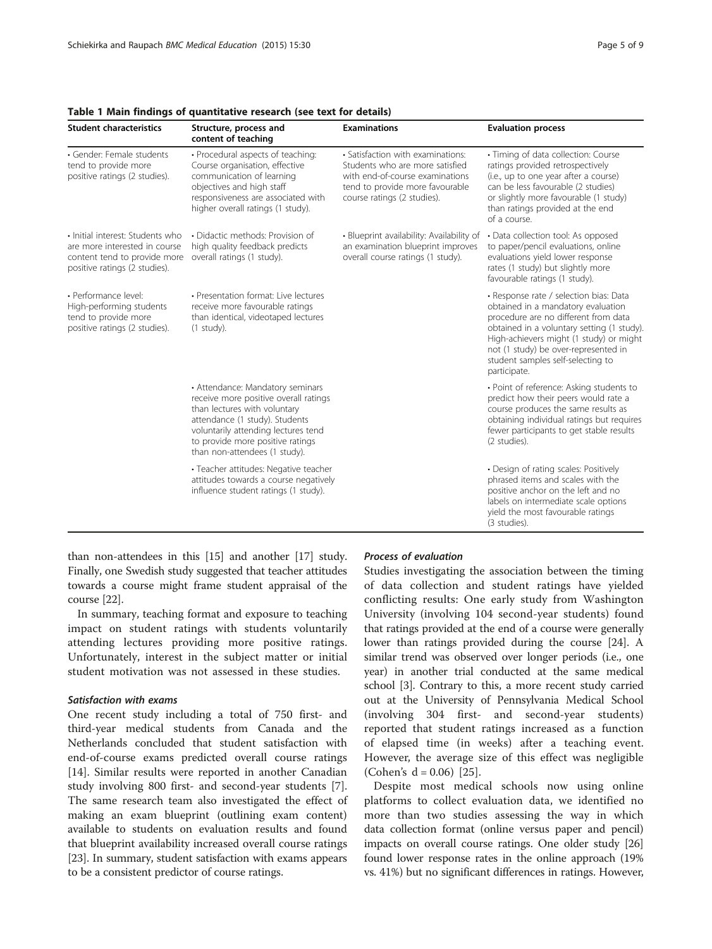| <b>Student characteristics</b>                                                                                                     | Structure, process and<br>content of teaching                                                                                                                                                                                                           | <b>Examinations</b>                                                                                                                                                       | <b>Evaluation process</b>                                                                                                                                                                                                                                                                                  |
|------------------------------------------------------------------------------------------------------------------------------------|---------------------------------------------------------------------------------------------------------------------------------------------------------------------------------------------------------------------------------------------------------|---------------------------------------------------------------------------------------------------------------------------------------------------------------------------|------------------------------------------------------------------------------------------------------------------------------------------------------------------------------------------------------------------------------------------------------------------------------------------------------------|
| • Gender: Female students<br>tend to provide more<br>positive ratings (2 studies).                                                 | · Procedural aspects of teaching:<br>Course organisation, effective<br>communication of learning<br>objectives and high staff<br>responsiveness are associated with<br>higher overall ratings (1 study).                                                | • Satisfaction with examinations:<br>Students who are more satisfied<br>with end-of-course examinations<br>tend to provide more favourable<br>course ratings (2 studies). | • Timing of data collection: Course<br>ratings provided retrospectively<br>(i.e., up to one year after a course)<br>can be less favourable (2 studies)<br>or slightly more favourable (1 study)<br>than ratings provided at the end<br>of a course.                                                        |
| · Initial interest: Students who<br>are more interested in course<br>content tend to provide more<br>positive ratings (2 studies). | • Didactic methods: Provision of<br>high quality feedback predicts<br>overall ratings (1 study).                                                                                                                                                        | · Blueprint availability: Availability of<br>an examination blueprint improves<br>overall course ratings (1 study).                                                       | · Data collection tool: As opposed<br>to paper/pencil evaluations, online<br>evaluations yield lower response<br>rates (1 study) but slightly more<br>favourable ratings (1 study).                                                                                                                        |
| · Performance level:<br>High-performing students<br>tend to provide more<br>positive ratings (2 studies).                          | • Presentation format: Live lectures<br>receive more favourable ratings<br>than identical, videotaped lectures<br>$(1$ study).                                                                                                                          |                                                                                                                                                                           | • Response rate / selection bias: Data<br>obtained in a mandatory evaluation<br>procedure are no different from data<br>obtained in a voluntary setting (1 study).<br>High-achievers might (1 study) or might<br>not (1 study) be over-represented in<br>student samples self-selecting to<br>participate. |
|                                                                                                                                    | • Attendance: Mandatory seminars<br>receive more positive overall ratings<br>than lectures with voluntary<br>attendance (1 study). Students<br>voluntarily attending lectures tend<br>to provide more positive ratings<br>than non-attendees (1 study). |                                                                                                                                                                           | • Point of reference: Asking students to<br>predict how their peers would rate a<br>course produces the same results as<br>obtaining individual ratings but requires<br>fewer participants to get stable results<br>(2 studies).                                                                           |
|                                                                                                                                    | · Teacher attitudes: Negative teacher<br>attitudes towards a course negatively<br>influence student ratings (1 study).                                                                                                                                  |                                                                                                                                                                           | • Design of rating scales: Positively<br>phrased items and scales with the<br>positive anchor on the left and no<br>labels on intermediate scale options<br>yield the most favourable ratings<br>(3 studies).                                                                                              |

<span id="page-4-0"></span>Table 1 Main findings of quantitative research (see text for details)

than non-attendees in this [[15](#page-7-0)] and another [[17](#page-7-0)] study. Finally, one Swedish study suggested that teacher attitudes towards a course might frame student appraisal of the course [[22](#page-7-0)].

In summary, teaching format and exposure to teaching impact on student ratings with students voluntarily attending lectures providing more positive ratings. Unfortunately, interest in the subject matter or initial student motivation was not assessed in these studies.

#### Satisfaction with exams

One recent study including a total of 750 first- and third-year medical students from Canada and the Netherlands concluded that student satisfaction with end-of-course exams predicted overall course ratings [[14\]](#page-7-0). Similar results were reported in another Canadian study involving 800 first- and second-year students [\[7](#page-7-0)]. The same research team also investigated the effect of making an exam blueprint (outlining exam content) available to students on evaluation results and found that blueprint availability increased overall course ratings [[23](#page-7-0)]. In summary, student satisfaction with exams appears to be a consistent predictor of course ratings.

## Process of evaluation

Studies investigating the association between the timing of data collection and student ratings have yielded conflicting results: One early study from Washington University (involving 104 second-year students) found that ratings provided at the end of a course were generally lower than ratings provided during the course [[24](#page-7-0)]. A similar trend was observed over longer periods (i.e., one year) in another trial conducted at the same medical school [\[3](#page-7-0)]. Contrary to this, a more recent study carried out at the University of Pennsylvania Medical School (involving 304 first- and second-year students) reported that student ratings increased as a function of elapsed time (in weeks) after a teaching event. However, the average size of this effect was negligible (Cohen's  $d = 0.06$ ) [\[25](#page-7-0)].

Despite most medical schools now using online platforms to collect evaluation data, we identified no more than two studies assessing the way in which data collection format (online versus paper and pencil) impacts on overall course ratings. One older study [[26](#page-7-0)] found lower response rates in the online approach (19% vs. 41%) but no significant differences in ratings. However,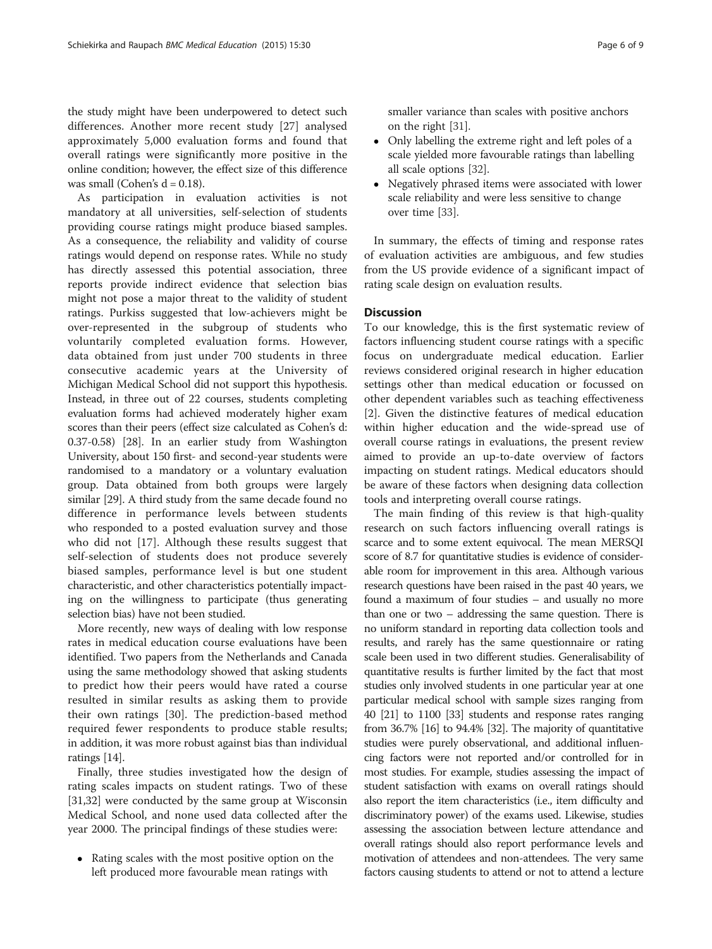the study might have been underpowered to detect such differences. Another more recent study [[27](#page-7-0)] analysed approximately 5,000 evaluation forms and found that overall ratings were significantly more positive in the online condition; however, the effect size of this difference was small (Cohen's  $d = 0.18$ ).

As participation in evaluation activities is not mandatory at all universities, self-selection of students providing course ratings might produce biased samples. As a consequence, the reliability and validity of course ratings would depend on response rates. While no study has directly assessed this potential association, three reports provide indirect evidence that selection bias might not pose a major threat to the validity of student ratings. Purkiss suggested that low-achievers might be over-represented in the subgroup of students who voluntarily completed evaluation forms. However, data obtained from just under 700 students in three consecutive academic years at the University of Michigan Medical School did not support this hypothesis. Instead, in three out of 22 courses, students completing evaluation forms had achieved moderately higher exam scores than their peers (effect size calculated as Cohen's d: 0.37-0.58) [[28](#page-7-0)]. In an earlier study from Washington University, about 150 first- and second-year students were randomised to a mandatory or a voluntary evaluation group. Data obtained from both groups were largely similar [[29](#page-7-0)]. A third study from the same decade found no difference in performance levels between students who responded to a posted evaluation survey and those who did not [[17\]](#page-7-0). Although these results suggest that self-selection of students does not produce severely biased samples, performance level is but one student characteristic, and other characteristics potentially impacting on the willingness to participate (thus generating selection bias) have not been studied.

More recently, new ways of dealing with low response rates in medical education course evaluations have been identified. Two papers from the Netherlands and Canada using the same methodology showed that asking students to predict how their peers would have rated a course resulted in similar results as asking them to provide their own ratings [\[30](#page-7-0)]. The prediction-based method required fewer respondents to produce stable results; in addition, it was more robust against bias than individual ratings [[14](#page-7-0)].

Finally, three studies investigated how the design of rating scales impacts on student ratings. Two of these [[31,32\]](#page-7-0) were conducted by the same group at Wisconsin Medical School, and none used data collected after the year 2000. The principal findings of these studies were:

 Rating scales with the most positive option on the left produced more favourable mean ratings with

smaller variance than scales with positive anchors on the right [\[31\]](#page-7-0).

- Only labelling the extreme right and left poles of a scale yielded more favourable ratings than labelling all scale options [[32](#page-7-0)].
- Negatively phrased items were associated with lower scale reliability and were less sensitive to change over time [\[33\]](#page-7-0).

In summary, the effects of timing and response rates of evaluation activities are ambiguous, and few studies from the US provide evidence of a significant impact of rating scale design on evaluation results.

#### **Discussion**

To our knowledge, this is the first systematic review of factors influencing student course ratings with a specific focus on undergraduate medical education. Earlier reviews considered original research in higher education settings other than medical education or focussed on other dependent variables such as teaching effectiveness [[2\]](#page-7-0). Given the distinctive features of medical education within higher education and the wide-spread use of overall course ratings in evaluations, the present review aimed to provide an up-to-date overview of factors impacting on student ratings. Medical educators should be aware of these factors when designing data collection tools and interpreting overall course ratings.

The main finding of this review is that high-quality research on such factors influencing overall ratings is scarce and to some extent equivocal. The mean MERSQI score of 8.7 for quantitative studies is evidence of considerable room for improvement in this area. Although various research questions have been raised in the past 40 years, we found a maximum of four studies – and usually no more than one or two – addressing the same question. There is no uniform standard in reporting data collection tools and results, and rarely has the same questionnaire or rating scale been used in two different studies. Generalisability of quantitative results is further limited by the fact that most studies only involved students in one particular year at one particular medical school with sample sizes ranging from 40 [\[21\]](#page-7-0) to 1100 [[33](#page-7-0)] students and response rates ranging from 36.7% [[16\]](#page-7-0) to 94.4% [[32\]](#page-7-0). The majority of quantitative studies were purely observational, and additional influencing factors were not reported and/or controlled for in most studies. For example, studies assessing the impact of student satisfaction with exams on overall ratings should also report the item characteristics (i.e., item difficulty and discriminatory power) of the exams used. Likewise, studies assessing the association between lecture attendance and overall ratings should also report performance levels and motivation of attendees and non-attendees. The very same factors causing students to attend or not to attend a lecture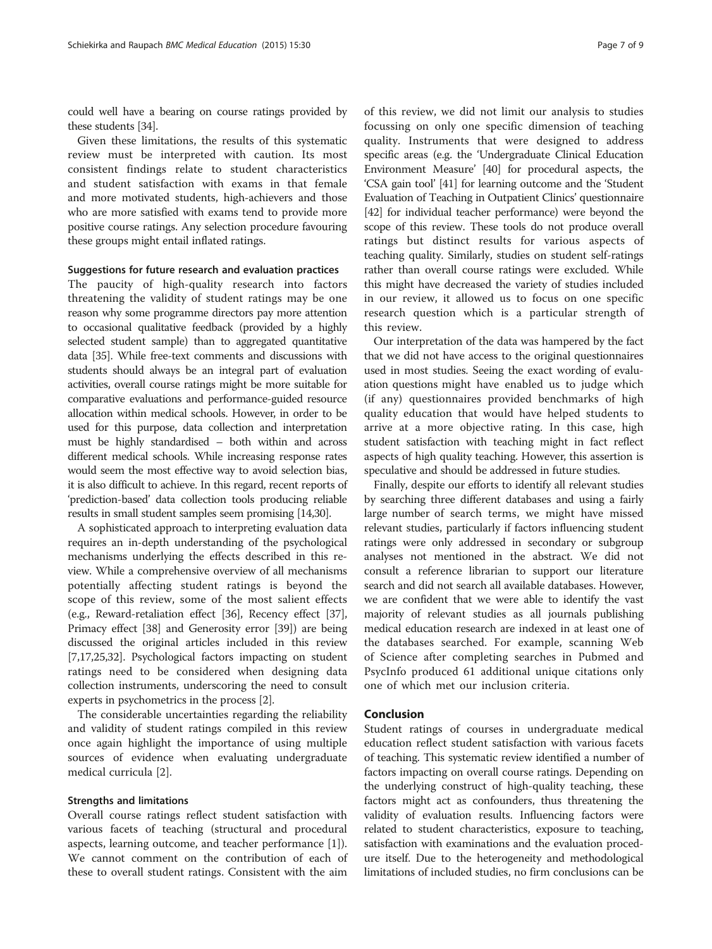could well have a bearing on course ratings provided by these students [\[34](#page-8-0)].

Given these limitations, the results of this systematic review must be interpreted with caution. Its most consistent findings relate to student characteristics and student satisfaction with exams in that female and more motivated students, high-achievers and those who are more satisfied with exams tend to provide more positive course ratings. Any selection procedure favouring these groups might entail inflated ratings.

#### Suggestions for future research and evaluation practices

The paucity of high-quality research into factors threatening the validity of student ratings may be one reason why some programme directors pay more attention to occasional qualitative feedback (provided by a highly selected student sample) than to aggregated quantitative data [\[35](#page-8-0)]. While free-text comments and discussions with students should always be an integral part of evaluation activities, overall course ratings might be more suitable for comparative evaluations and performance-guided resource allocation within medical schools. However, in order to be used for this purpose, data collection and interpretation must be highly standardised – both within and across different medical schools. While increasing response rates would seem the most effective way to avoid selection bias, it is also difficult to achieve. In this regard, recent reports of 'prediction-based' data collection tools producing reliable results in small student samples seem promising [\[14,30](#page-7-0)].

A sophisticated approach to interpreting evaluation data requires an in-depth understanding of the psychological mechanisms underlying the effects described in this review. While a comprehensive overview of all mechanisms potentially affecting student ratings is beyond the scope of this review, some of the most salient effects (e.g., Reward-retaliation effect [\[36](#page-8-0)], Recency effect [[37](#page-8-0)], Primacy effect [\[38\]](#page-8-0) and Generosity error [\[39](#page-8-0)]) are being discussed the original articles included in this review [[7,17,25,32\]](#page-7-0). Psychological factors impacting on student ratings need to be considered when designing data collection instruments, underscoring the need to consult experts in psychometrics in the process [[2\]](#page-7-0).

The considerable uncertainties regarding the reliability and validity of student ratings compiled in this review once again highlight the importance of using multiple sources of evidence when evaluating undergraduate medical curricula [[2\]](#page-7-0).

# Strengths and limitations

Overall course ratings reflect student satisfaction with various facets of teaching (structural and procedural aspects, learning outcome, and teacher performance [\[1](#page-7-0)]). We cannot comment on the contribution of each of these to overall student ratings. Consistent with the aim

of this review, we did not limit our analysis to studies focussing on only one specific dimension of teaching quality. Instruments that were designed to address specific areas (e.g. the 'Undergraduate Clinical Education Environment Measure' [[40](#page-8-0)] for procedural aspects, the 'CSA gain tool' [\[41\]](#page-8-0) for learning outcome and the 'Student Evaluation of Teaching in Outpatient Clinics' questionnaire [[42](#page-8-0)] for individual teacher performance) were beyond the scope of this review. These tools do not produce overall ratings but distinct results for various aspects of teaching quality. Similarly, studies on student self-ratings rather than overall course ratings were excluded. While this might have decreased the variety of studies included in our review, it allowed us to focus on one specific research question which is a particular strength of this review.

Our interpretation of the data was hampered by the fact that we did not have access to the original questionnaires used in most studies. Seeing the exact wording of evaluation questions might have enabled us to judge which (if any) questionnaires provided benchmarks of high quality education that would have helped students to arrive at a more objective rating. In this case, high student satisfaction with teaching might in fact reflect aspects of high quality teaching. However, this assertion is speculative and should be addressed in future studies.

Finally, despite our efforts to identify all relevant studies by searching three different databases and using a fairly large number of search terms, we might have missed relevant studies, particularly if factors influencing student ratings were only addressed in secondary or subgroup analyses not mentioned in the abstract. We did not consult a reference librarian to support our literature search and did not search all available databases. However, we are confident that we were able to identify the vast majority of relevant studies as all journals publishing medical education research are indexed in at least one of the databases searched. For example, scanning Web of Science after completing searches in Pubmed and PsycInfo produced 61 additional unique citations only one of which met our inclusion criteria.

# Conclusion

Student ratings of courses in undergraduate medical education reflect student satisfaction with various facets of teaching. This systematic review identified a number of factors impacting on overall course ratings. Depending on the underlying construct of high-quality teaching, these factors might act as confounders, thus threatening the validity of evaluation results. Influencing factors were related to student characteristics, exposure to teaching, satisfaction with examinations and the evaluation procedure itself. Due to the heterogeneity and methodological limitations of included studies, no firm conclusions can be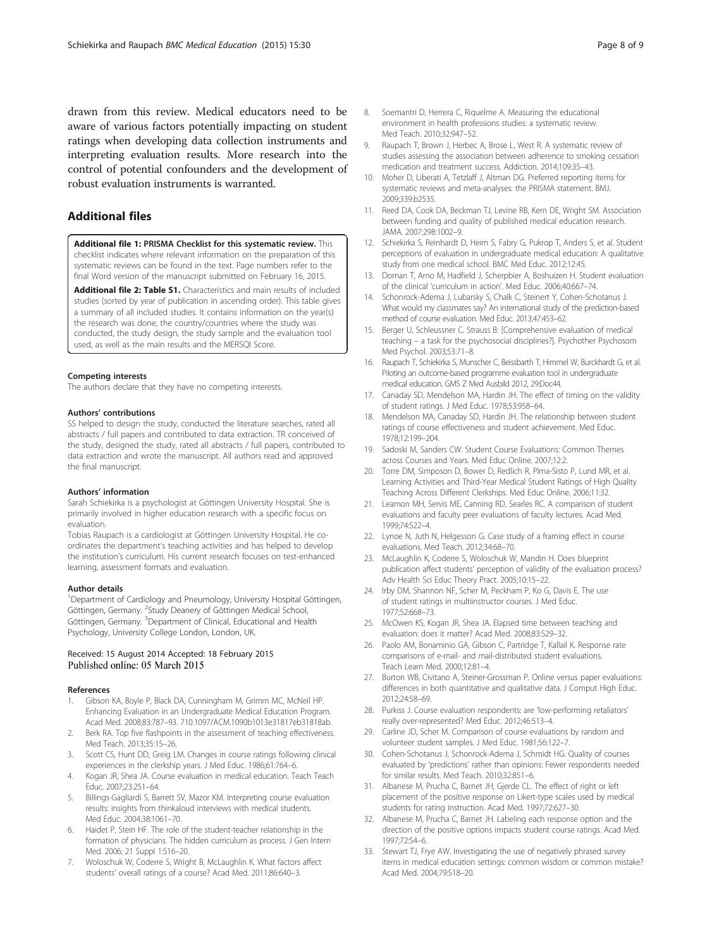<span id="page-7-0"></span>drawn from this review. Medical educators need to be aware of various factors potentially impacting on student ratings when developing data collection instruments and interpreting evaluation results. More research into the control of potential confounders and the development of robust evaluation instruments is warranted.

# Additional files

[Additional file 1:](http://www.biomedcentral.com/content/supplementary/s12909-015-0311-8-s1.pdf) PRISMA Checklist for this systematic review. This checklist indicates where relevant information on the preparation of this systematic reviews can be found in the text. Page numbers refer to the final Word version of the manuscript submitted on February 16, 2015.

[Additional file 2: Table S1.](http://www.biomedcentral.com/content/supplementary/s12909-015-0311-8-s2.pdf) Characteristics and main results of included studies (sorted by year of publication in ascending order). This table gives a summary of all included studies. It contains information on the year(s) the research was done, the country/countries where the study was conducted, the study design, the study sample and the evaluation tool used, as well as the main results and the MERSQI Score.

#### Competing interests

The authors declare that they have no competing interests.

#### Authors' contributions

SS helped to design the study, conducted the literature searches, rated all abstracts / full papers and contributed to data extraction. TR conceived of the study, designed the study, rated all abstracts / full papers, contributed to data extraction and wrote the manuscript. All authors read and approved the final manuscript.

#### Authors' information

Sarah Schiekirka is a psychologist at Göttingen University Hospital. She is primarily involved in higher education research with a specific focus on evaluation.

Tobias Raupach is a cardiologist at Göttingen University Hospital. He coordinates the department's teaching activities and has helped to develop the institution's curriculum. His current research focuses on test-enhanced learning, assessment formats and evaluation.

#### Author details

<sup>1</sup>Department of Cardiology and Pneumology, University Hospital Göttingen, Göttingen, Germany. <sup>2</sup>Study Deanery of Göttingen Medical School, Göttingen, Germany. <sup>3</sup>Department of Clinical, Educational and Health Psychology, University College London, London, UK.

# Received: 15 August 2014 Accepted: 18 February 2015<br>Published online: 05 March 2015

#### References

- 1. Gibson KA, Boyle P, Black DA, Cunningham M, Grimm MC, McNeil HP. Enhancing Evaluation in an Undergraduate Medical Education Program. Acad Med. 2008;83:787–93. 710.1097/ACM.1090b1013e31817eb31818ab.
- 2. Berk RA. Top five flashpoints in the assessment of teaching effectiveness. Med Teach. 2013;35:15–26.
- 3. Scott CS, Hunt DD, Greig LM. Changes in course ratings following clinical experiences in the clerkship years. J Med Educ. 1986;61:764–6.
- 4. Kogan JR, Shea JA. Course evaluation in medical education. Teach Teach Educ. 2007;23:251–64.
- 5. Billings-Gagliardi S, Barrett SV, Mazor KM. Interpreting course evaluation results: insights from thinkaloud interviews with medical students. Med Educ. 2004;38:1061–70.
- 6. Haidet P, Stein HF. The role of the student-teacher relationship in the formation of physicians. The hidden curriculum as process. J Gen Intern Med. 2006; 21 Suppl 1:S16–20.
- 7. Woloschuk W, Coderre S, Wright B, McLaughlin K. What factors affect students' overall ratings of a course? Acad Med. 2011;86:640–3.
- 8. Soemantri D, Herrera C, Riquelme A. Measuring the educational environment in health professions studies: a systematic review. Med Teach. 2010;32:947–52.
- 9. Raupach T, Brown J, Herbec A, Brose L, West R. A systematic review of studies assessing the association between adherence to smoking cessation medication and treatment success. Addiction. 2014;109:35–43.
- 10. Moher D, Liberati A, Tetzlaff J, Altman DG. Preferred reporting items for systematic reviews and meta-analyses: the PRISMA statement. BMJ. 2009;339:b2535.
- 11. Reed DA, Cook DA, Beckman TJ, Levine RB, Kern DE, Wright SM. Association between funding and quality of published medical education research. JAMA. 2007;298:1002–9.
- 12. Schiekirka S, Reinhardt D, Heim S, Fabry G, Pukrop T, Anders S, et al. Student perceptions of evaluation in undergraduate medical education: A qualitative study from one medical school. BMC Med Educ. 2012;12:45.
- 13. Dornan T, Arno M, Hadfield J, Scherpbier A, Boshuizen H. Student evaluation of the clinical 'curriculum in action'. Med Educ. 2006;40:667–74.
- 14. Schonrock-Adema J, Lubarsky S, Chalk C, Steinert Y, Cohen-Schotanus J. What would my classmates say? An international study of the prediction-based method of course evaluation. Med Educ. 2013;47:453–62.
- 15. Berger U, Schleussner C. Strauss B: [Comprehensive evaluation of medical teaching – a task for the psychosocial disciplines?]. Psychother Psychosom Med Psychol. 2003;53:71–8.
- 16. Raupach T, Schiekirka S, Munscher C, Beissbarth T, Himmel W, Burckhardt G, et al. Piloting an outcome-based programme evaluation tool in undergraduate medical education. GMS Z Med Ausbild 2012, 29:Doc44.
- 17. Canaday SD, Mendelson MA, Hardin JH. The effect of timing on the validity of student ratings. J Med Educ. 1978;53:958–64.
- 18. Mendelson MA, Canaday SD, Hardin JH. The relationship between student ratings of course effectiveness and student achievement. Med Educ. 1978;12:199–204.
- 19. Sadoski M, Sanders CW. Student Course Evaluations: Common Themes across Courses and Years. Med Educ Online. 2007;12:2.
- 20. Torre DM, Simposon D, Bower D, Redlich R, Plma-Sisto P, Lund MR, et al. Learning Activities and Third-Year Medical Student Ratings of High Quality Teaching Across Different Clerkships. Med Educ Online. 2006;11:32.
- 21. Leamon MH, Servis ME, Canning RD, Searles RC. A comparison of student evaluations and faculty peer evaluations of faculty lectures. Acad Med. 1999;74:S22–4.
- 22. Lynoe N, Juth N, Helgesson G. Case study of a framing effect in course evaluations. Med Teach. 2012;34:68–70.
- 23. McLaughlin K, Coderre S, Woloschuk W, Mandin H. Does blueprint publication affect students' perception of validity of the evaluation process? Adv Health Sci Educ Theory Pract. 2005;10:15–22.
- 24. Irby DM, Shannon NF, Scher M, Peckham P, Ko G, Davis E. The use of student ratings in multiinstructor courses. J Med Educ. 1977;52:668–73.
- 25. McOwen KS, Kogan JR, Shea JA. Elapsed time between teaching and evaluation: does it matter? Acad Med. 2008;83:S29–32.
- 26. Paolo AM, Bonaminio GA, Gibson C, Partridge T, Kallail K. Response rate comparisons of e-mail- and mail-distributed student evaluations. Teach Learn Med. 2000;12:81–4.
- 27. Burton WB, Civitano A, Steiner-Grossman P. Online versus paper evaluations: differences in both quantitative and qualitative data. J Comput High Educ. 2012;24:58–69.
- 28. Purkiss J. Course evaluation respondents: are 'low-performing retaliators' really over-represented? Med Educ. 2012;46:513–4.
- 29. Carline JD, Scher M. Comparison of course evaluations by random and volunteer student samples. J Med Educ. 1981;56:122–7.
- 30. Cohen-Schotanus J, Schonrock-Adema J, Schmidt HG. Quality of courses evaluated by 'predictions' rather than opinions: Fewer respondents needed for similar results. Med Teach. 2010;32:851–6.
- 31. Albanese M, Prucha C, Barnet JH, Gjerde CL. The effect of right or left placement of the positive response on Likert-type scales used by medical students for rating instruction. Acad Med. 1997;72:627–30.
- 32. Albanese M, Prucha C, Barnet JH. Labeling each response option and the direction of the positive options impacts student course ratings. Acad Med. 1997;72:S4–6.
- 33. Stewart TJ, Frye AW. Investigating the use of negatively phrased survey items in medical education settings: common wisdom or common mistake? Acad Med. 2004;79:S18–20.